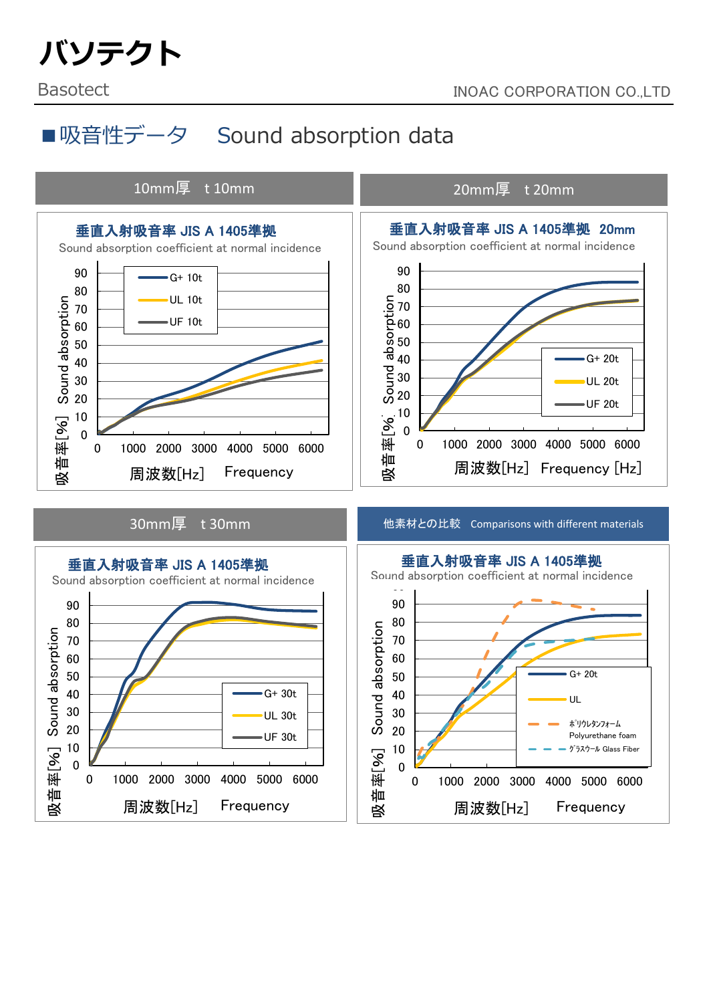# バソテクト

## ■吸音性データ Sound absorption data